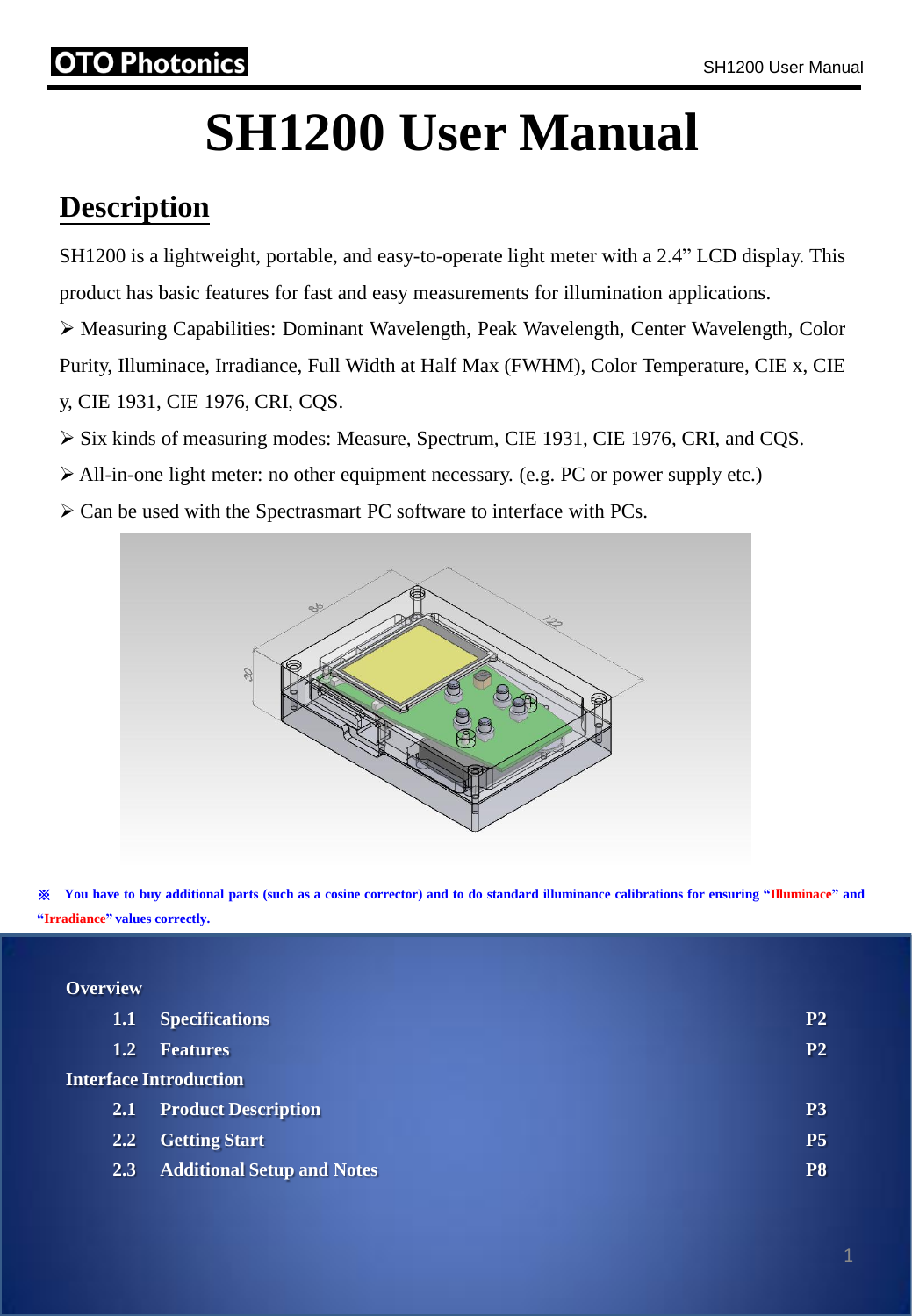#### hotonics

# **SH1200 User Manual**

#### **Description**

SH1200 is a lightweight, portable, and easy-to-operate light meter with a 2.4" LCD display. This product has basic features for fast and easy measurements for illumination applications.

 Measuring Capabilities: Dominant Wavelength, Peak Wavelength, Center Wavelength, Color Purity, Illuminace, Irradiance, Full Width at Half Max (FWHM), Color Temperature, CIE x, CIE y, CIE 1931, CIE 1976, CRI, CQS.

- Six kinds of measuring modes: Measure, Spectrum, CIE 1931, CIE 1976, CRI, and CQS.
- $\triangleright$  All-in-one light meter: no other equipment necessary. (e.g. PC or power supply etc.)
- $\triangleright$  Can be used with the Spectrasmart PC software to interface with PCs.



X You have to buy additional parts (such as a cosine corrector) and to do standard illuminance calibrations for ensuring "Illuminace" and **"Irradiance" values correctly.**

#### **Overview**

| 1.1            | <b>Specifications</b>             | P <sub>2</sub> |
|----------------|-----------------------------------|----------------|
| $\mathbf{1.2}$ | <b>Features</b>                   | P <sub>2</sub> |
|                | <b>Interface Introduction</b>     |                |
| <b>2.1</b>     | <b>Product Description</b>        | P <sub>3</sub> |
| $2.2^{\circ}$  | <b>Getting Start</b>              | <b>P5</b>      |
| <b>2.3</b>     | <b>Additional Setup and Notes</b> | P8             |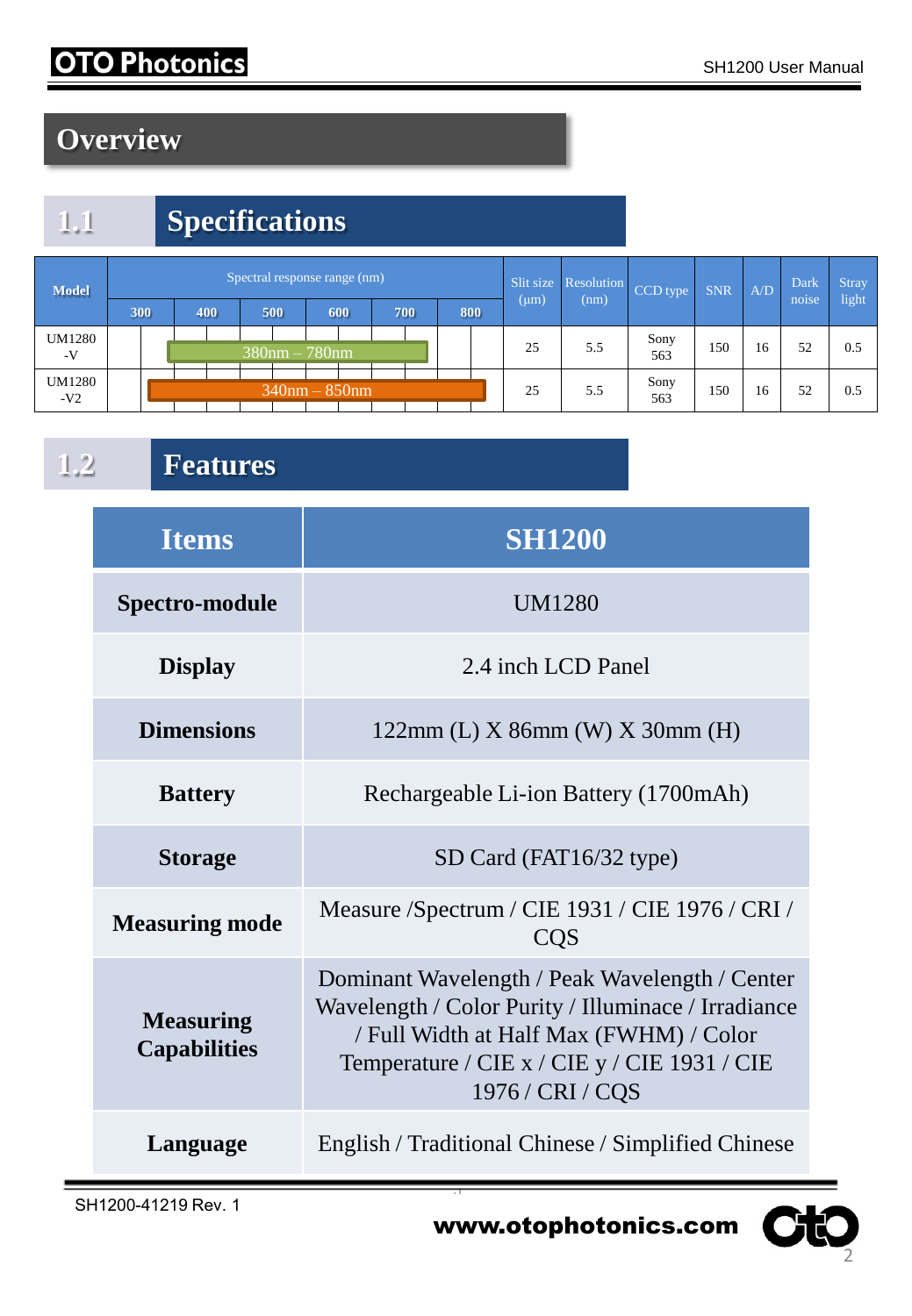### **OTO Photonics**

## **Overview**

# **1.1 Specifications**

| <b>Model</b>    | Spectral response range (nm) |     |  |     |                  |     |  |                    |  |     | Slit size | Resolution | CCD type | <b>SNR</b>  | A/D | Dark | <b>Stray</b> |       |
|-----------------|------------------------------|-----|--|-----|------------------|-----|--|--------------------|--|-----|-----------|------------|----------|-------------|-----|------|--------------|-------|
|                 |                              | 300 |  | 400 |                  | 500 |  | 600                |  | 700 | 800       | $(\mu m)$  | (nm)     |             |     |      | noise        | light |
| UM1280<br>$-V$  |                              |     |  |     | $380$ nm – 780nm |     |  |                    |  |     |           | 25         | 5.5      | Sony<br>563 | 150 | 16   | 52           | 0.5   |
| UM1280<br>$-V2$ |                              |     |  |     |                  |     |  | $340$ nm $-850$ nm |  |     |           | 25         | 5.5      | Sony<br>563 | 150 | 16   | 52           | 0.5   |

1.2 **F** 

| <b>Items</b>                            | <b>SH1200</b>                                                                                                                                                                                                        |
|-----------------------------------------|----------------------------------------------------------------------------------------------------------------------------------------------------------------------------------------------------------------------|
| Spectro-module                          | <b>UM1280</b>                                                                                                                                                                                                        |
| <b>Display</b>                          | 2.4 inch LCD Panel                                                                                                                                                                                                   |
| <b>Dimensions</b>                       | $122mm$ (L) X 86mm (W) X 30mm (H)                                                                                                                                                                                    |
| <b>Battery</b>                          | Rechargeable Li-ion Battery (1700mAh)                                                                                                                                                                                |
| <b>Storage</b>                          | SD Card (FAT16/32 type)                                                                                                                                                                                              |
| <b>Measuring mode</b>                   | Measure /Spectrum / CIE 1931 / CIE 1976 / CRI /<br><b>COS</b>                                                                                                                                                        |
| <b>Measuring</b><br><b>Capabilities</b> | Dominant Wavelength / Peak Wavelength / Center<br>Wavelength / Color Purity / Illuminace / Irradiance<br>/ Full Width at Half Max (FWHM) / Color<br>Temperature / CIE x / CIE y / CIE 1931 / CIE<br>1976 / CRI / CQS |
| Language                                | English / Traditional Chinese / Simplified Chinese                                                                                                                                                                   |

www.otophotonics.com C

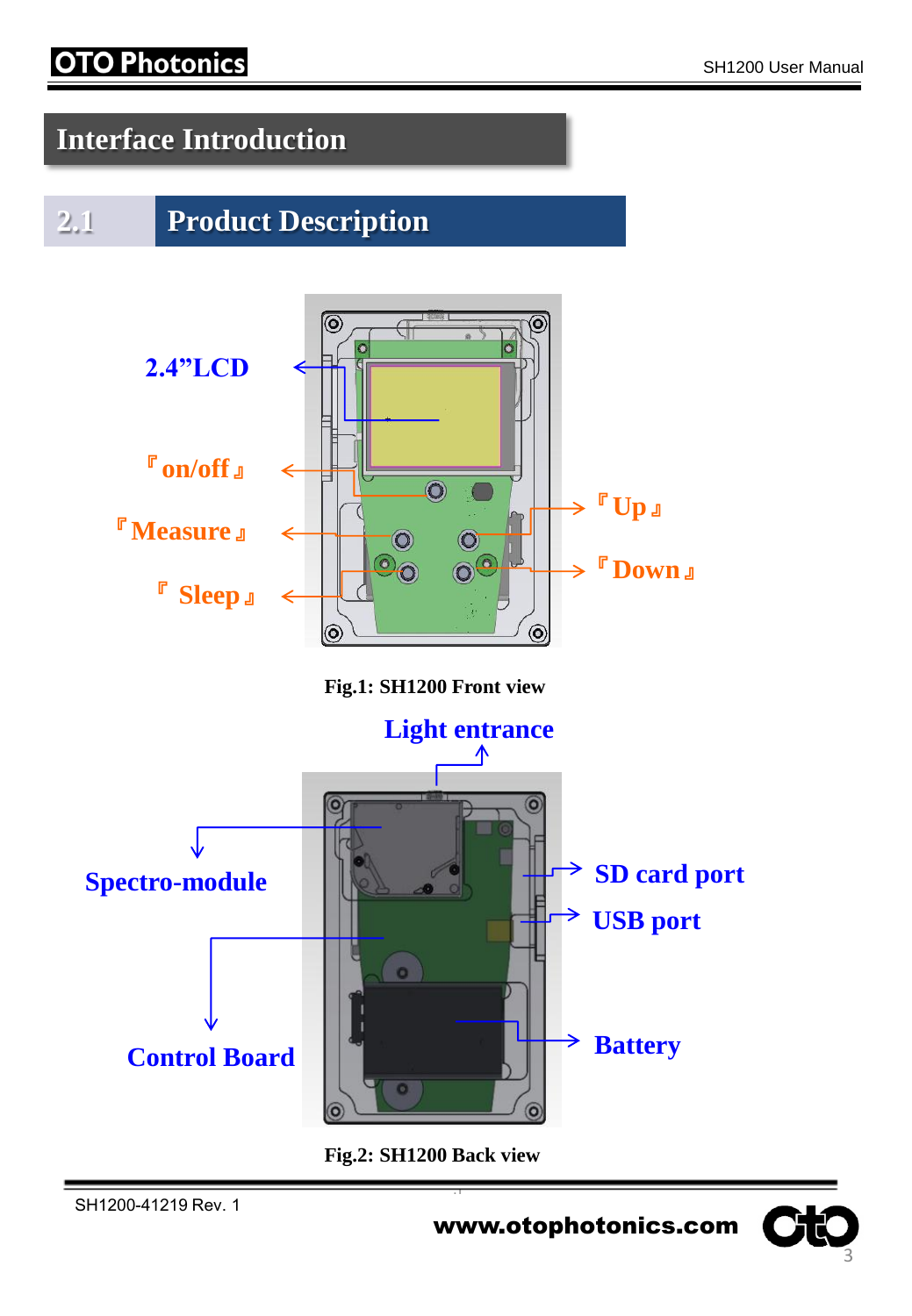#### **OTO Photonics**

#### **Interface Introduction**

#### **2.1 Product Description**



**Fig.2: SH1200 Back view**

О

www.otophotonics.com

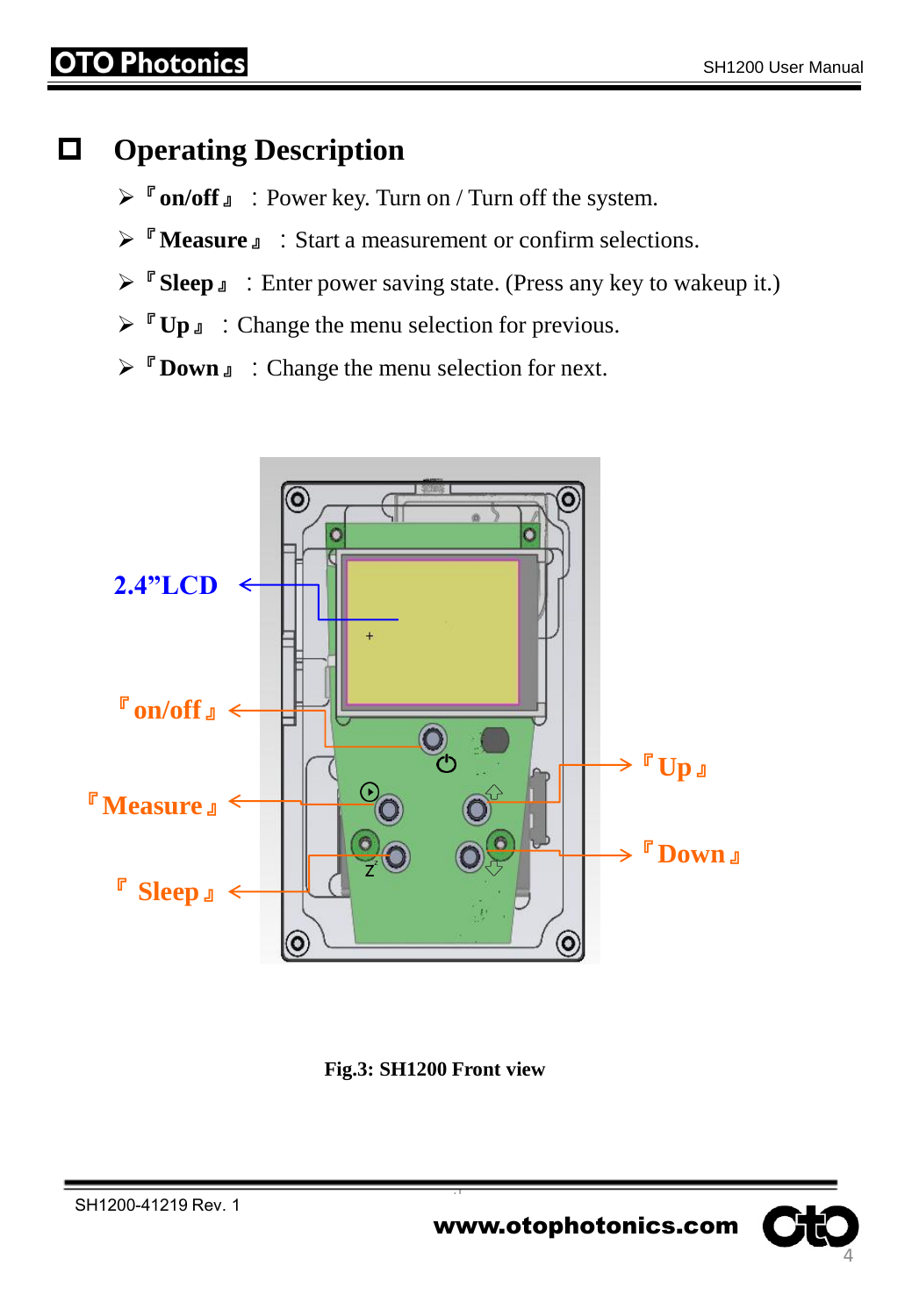#### **Operating Description**

- 『**on/off**』:Power key. Turn on / Turn off the system.
- **EXECUTE:** Start a measurement or confirm selections.
- 『**Sleep**』:Enter power saving state. (Press any key to wakeup it.)
- **► 『Up**』: Change the menu selection for previous.
- **E** Down **J** : Change the menu selection for next.



**Fig.3: SH1200 Front view**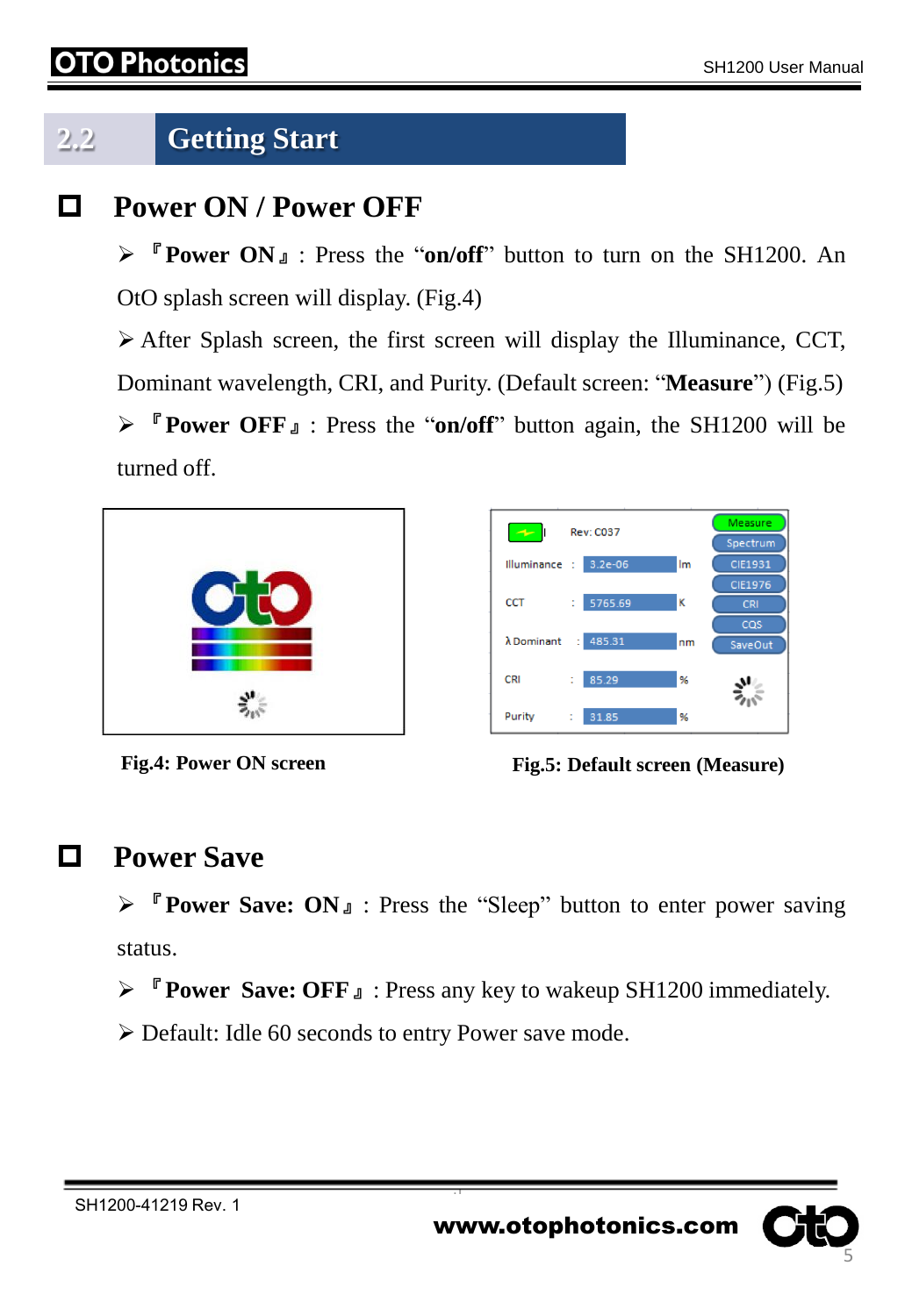#### Photon

#### **2.2 Getting Start**

#### **Power ON / Power OFF**

 『**Power ON**』: Press the "**on/off**" button to turn on the SH1200. An OtO splash screen will display. (Fig.4)

 After Splash screen, the first screen will display the Illuminance, CCT, Dominant wavelength, CRI, and Purity. (Default screen: "**Measure**") (Fig.5) 『**Power OFF**』: Press the "**on/off**" button again, the SH1200 will be turned off.



| حە                 | <b>Rev: C037</b>  | Measure<br>Spectrum |
|--------------------|-------------------|---------------------|
| Illuminance :      | $3.2e - 06$<br>Im | <b>CIE1931</b>      |
|                    |                   | CIE1976             |
| <b>CCT</b>         | κ<br>5765.69<br>t | <b>CRI</b>          |
| $\lambda$ Dominant | 485.31<br>÷<br>nm | cas<br>SaveOut      |
| CRI                | 85.29<br>%<br>t   |                     |
| Purity             | 31.85<br>%<br>÷   |                     |

**Fig.4: Power ON screen Fig.5: Default screen (Measure)**

#### **Power Save**

 『**Power Save: ON**』: Press the "Sleep" button to enter power saving status.

『**Power Save: OFF**』: Press any key to wakeup SH1200 immediately.

Default: Idle 60 seconds to entry Power save mode.

5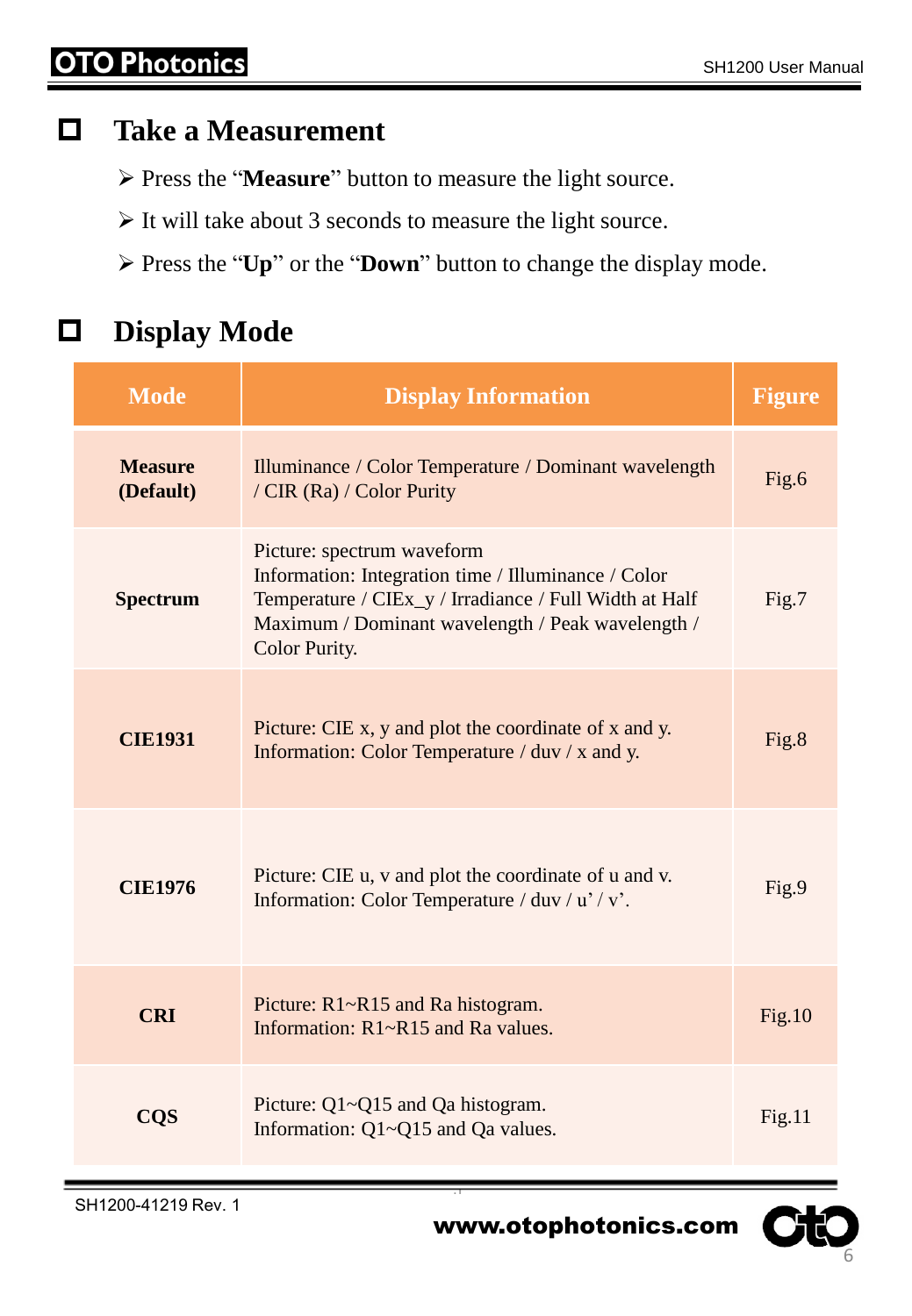#### **Take a Measurement**

- Press the "**Measure**" button to measure the light source.
- $\triangleright$  It will take about 3 seconds to measure the light source.
- Press the "**Up**" or the "**Down**" button to change the display mode.

#### **Display Mode**

| <b>Mode</b>                 | <b>Display Information</b>                                                                                                                                                                                        | <b>Figure</b> |
|-----------------------------|-------------------------------------------------------------------------------------------------------------------------------------------------------------------------------------------------------------------|---------------|
| <b>Measure</b><br>(Default) | Illuminance / Color Temperature / Dominant wavelength<br>/ CIR (Ra) / Color Purity                                                                                                                                | Fig.6         |
| <b>Spectrum</b>             | Picture: spectrum waveform<br>Information: Integration time / Illuminance / Color<br>Temperature / CIEx_y / Irradiance / Full Width at Half<br>Maximum / Dominant wavelength / Peak wavelength /<br>Color Purity. | Fig.7         |
| <b>CIE1931</b>              | Picture: CIE x, y and plot the coordinate of x and y.<br>Information: Color Temperature / duv / x and y.                                                                                                          | Fig.8         |
| <b>CIE1976</b>              | Picture: CIE u, v and plot the coordinate of u and v.<br>Information: Color Temperature / duv / u' / v'.                                                                                                          | Fig.9         |
| <b>CRI</b>                  | Picture: R1~R15 and Ra histogram.<br>Information: $R1 - R15$ and Ra values.                                                                                                                                       | Fig.10        |
| <b>CQS</b>                  | Picture: $Q1 \sim Q15$ and Qa histogram.<br>Information: Q1~Q15 and Qa values.                                                                                                                                    | Fig.11        |

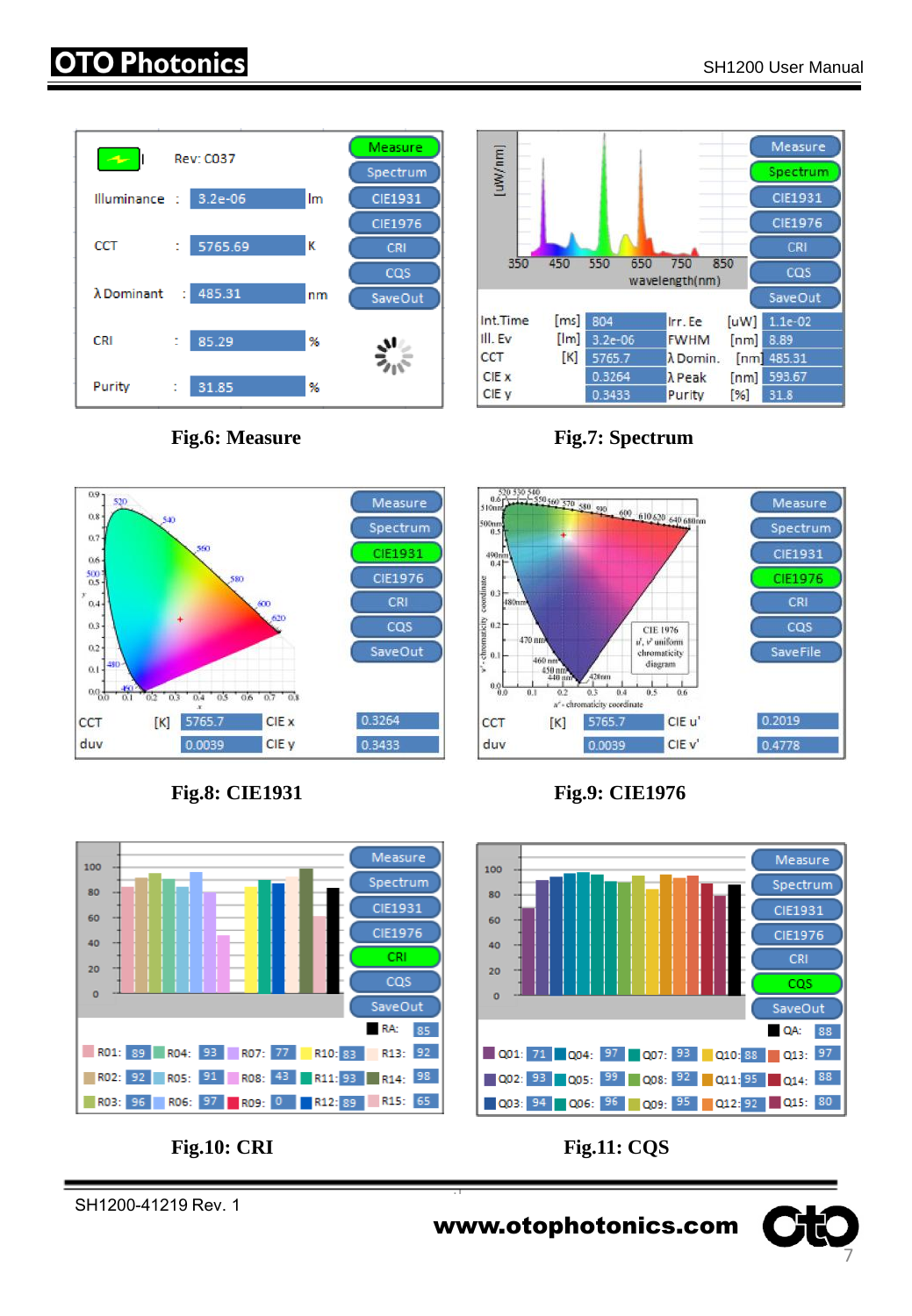#### **O Photonics**













SH1200-41219 Rev. 1

**Fig.8: CIE1931 Fig.9: CIE1976**



**Fig.10: CRI Fig.11: CQS**

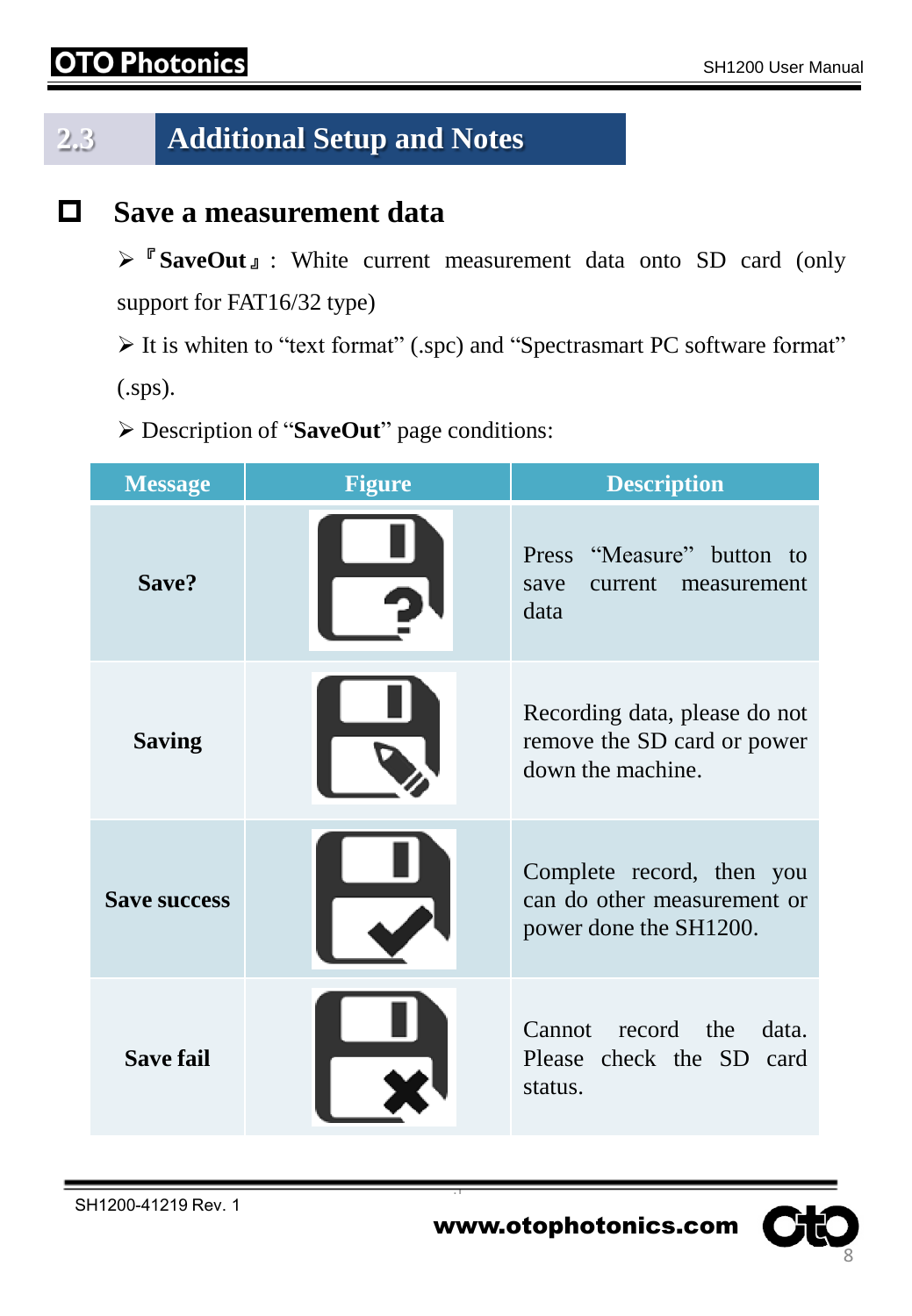#### **O Photonics**

### **2.3 Additional Setup and Notes**

#### **Save a measurement data**

『**SaveOut**』: White current measurement data onto SD card (only support for FAT16/32 type)

 It is whiten to "text format" (.spc) and "Spectrasmart PC software format" (.sps).

Description of "**SaveOut**" page conditions:

| <b>Message</b>      | <b>Figure</b> | <b>Description</b>                                                                 |
|---------------------|---------------|------------------------------------------------------------------------------------|
| Save?               |               | Press "Measure" button to<br>current measurement<br>save<br>data                   |
| <b>Saving</b>       |               | Recording data, please do not<br>remove the SD card or power<br>down the machine.  |
| <b>Save success</b> |               | Complete record, then you<br>can do other measurement or<br>power done the SH1200. |
| <b>Save fail</b>    |               | Cannot record the<br>data.<br>Please check the SD card<br>status.                  |

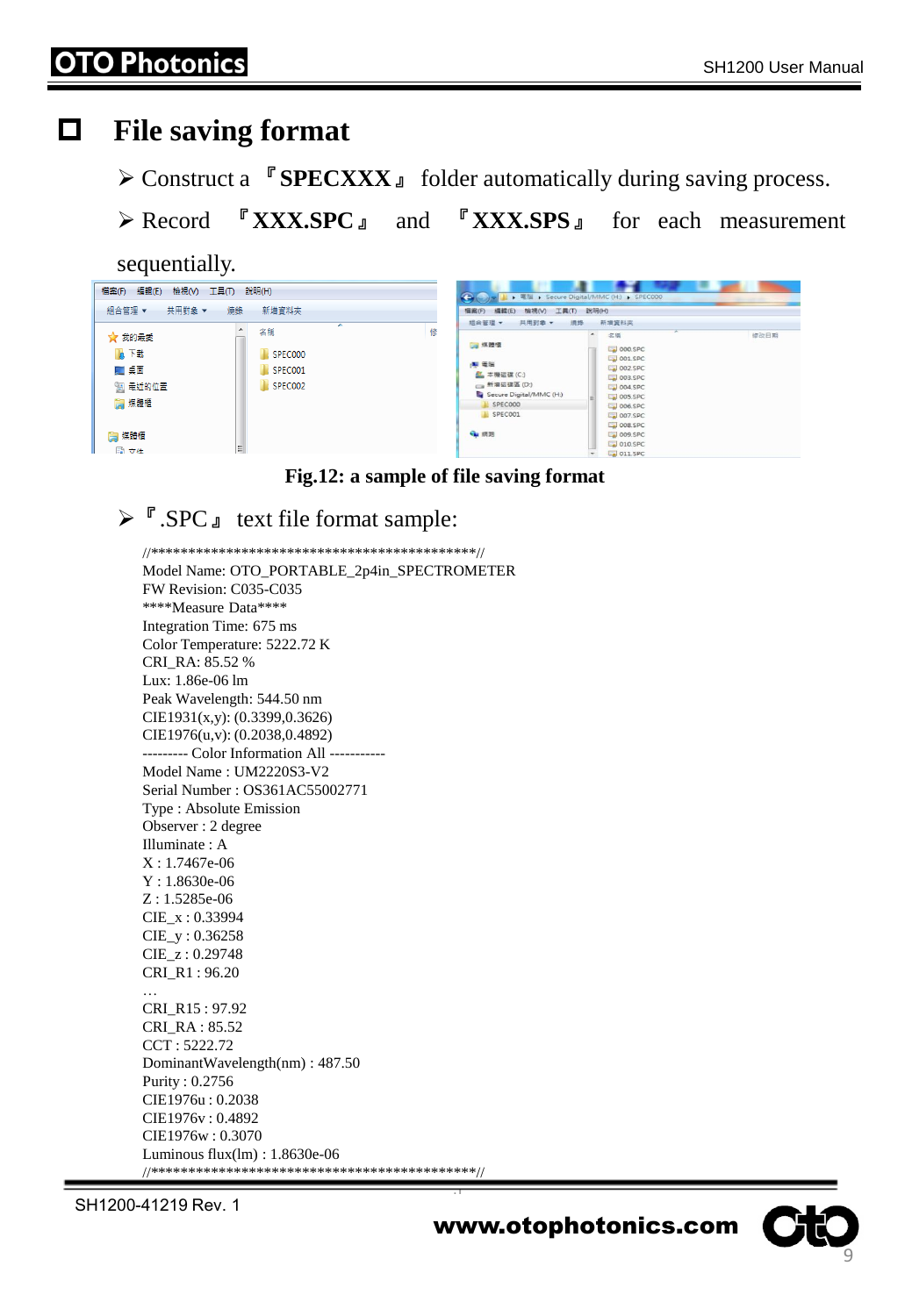#### **File saving format**

Construct a 『**SPECXXX**』 folder automatically during saving process.

Record 『**XXX.SPC**』 and 『**XXX.SPS**』 for each measurement

sequentially.

| ■ ■ ■ → Secure Digital/MMC (H:) → SPEC000<br>共用對象 ▼<br>組合管理 ▼<br>新増資料夾<br>燒錄<br>檢視(V) 工具(T) 說明(H)<br>编辑(E):<br>福密(F)<br>组合管理 <b>v</b><br>共用到象 ▼<br>新增資料夾<br>须终<br>≖<br>▲<br>修<br>名稱<br>名稱<br>☆ 我的最愛<br>۰<br>修改日期<br>□ 煤體櫃<br>DOO.SPC<br>瓦下載<br>SPEC000<br>$-001$ .SPC<br>(期間階)<br>002.SPC<br> ■ 桌面<br>SPEC001<br><b>星本機磁碟(C:)</b><br>$\sim$ 003.SPC<br>SPEC002<br>93 最近的位置<br>□ 新増磁碟區 (D:)<br>a 004.SPC<br>Secure Digital/MMC (H:)<br>$\Box$ 005.SPC<br>■ 媒體櫃<br>SPEC000<br>$Ln$ 006.SPC | 工具(T) 說明(H)<br>編輯(E)<br>檢視(V)<br><b>榴案(F)</b> |  |
|------------------------------------------------------------------------------------------------------------------------------------------------------------------------------------------------------------------------------------------------------------------------------------------------------------------------------------------------------------------------------------------------------------------------------------------------------------------------------------------|-----------------------------------------------|--|
|                                                                                                                                                                                                                                                                                                                                                                                                                                                                                          |                                               |  |
|                                                                                                                                                                                                                                                                                                                                                                                                                                                                                          |                                               |  |
|                                                                                                                                                                                                                                                                                                                                                                                                                                                                                          |                                               |  |
| SPECOO1<br>$Lel$ 007.SPC<br>$\Box$ 008.SPC<br><b>Gu</b> 網路<br>■ 煤體櫃<br><b>DO9.SPC</b><br>$-$ 010.SPC<br>틔<br>■ 立件                                                                                                                                                                                                                                                                                                                                                                        |                                               |  |

**Fig.12: a sample of file saving format**

#### $\triangleright$   $\ulcorner$  SPC  $\ulcorner$  text file format sample:

//\*\*\*\*\*\*\*\*\*\*\*\*\*\*\*\*\*\*\*\*\*\*\*\*\*\*\*\*\*\*\*\*\*\*\*\*\*\*\*\*\*\*\*//

Model Name: OTO\_PORTABLE\_2p4in\_SPECTROMETER FW Revision: C035-C035 \*\*\*\*Measure Data\*\*\*\* Integration Time: 675 ms Color Temperature: 5222.72 K CRI\_RA: 85.52 % Lux: 1.86e-06 lm Peak Wavelength: 544.50 nm CIE1931(x,y): (0.3399,0.3626) CIE1976(u,v): (0.2038,0.4892) --------- Color Information All ----------- Model Name : UM2220S3-V2 Serial Number : OS361AC55002771 Type : Absolute Emission Observer : 2 degree Illuminate : A X : 1.7467e-06 Y : 1.8630e-06 Z : 1.5285e-06 CIE\_x : 0.33994 CIE\_y : 0.36258 CIE\_z : 0.29748 CRI\_R1 : 96.20 … CRI\_R15 : 97.92 CRI\_RA : 85.52 CCT : 5222.72 DominantWavelength(nm) : 487.50 Purity : 0.2756 CIE1976u : 0.2038 CIE1976v : 0.4892 CIE1976w : 0.3070 Luminous flux(lm) : 1.8630e-06 //\*\*\*\*\*\*\*\*\*\*\*\*\*\*\*\*\*\*\*\*\*\*\*\*\*\*\*\*\*\*\*\*\*\*\*\*\*\*\*\*\*\*\*//